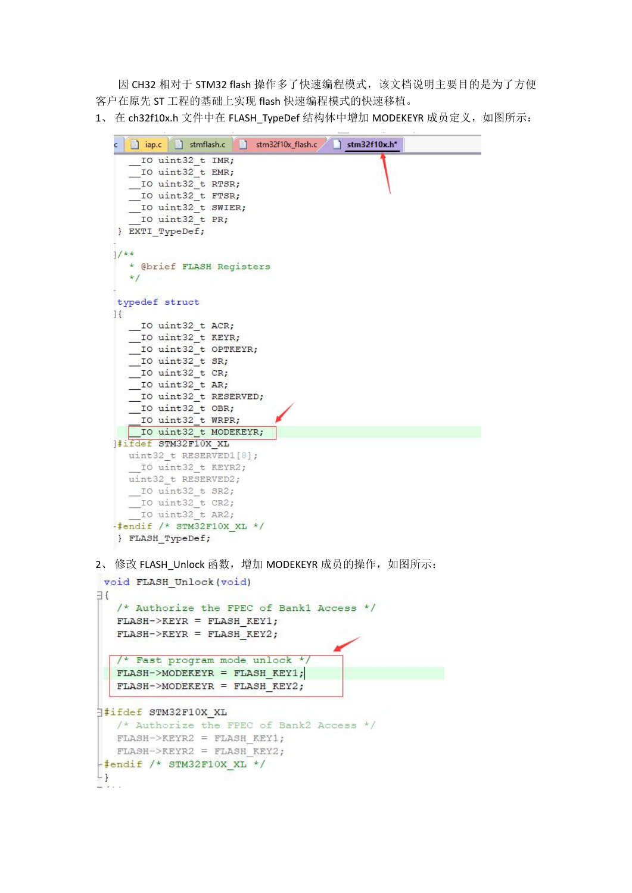因 CH32 相对于 STM32 flash 操作多了快速编程模式,该文档说明主要目的是为了方便 客户在原先 ST 工程的基础上实现 flash 快速编程模式的快速移植。

1、在 ch32f10x.h 文件中在 FLASH\_TypeDef 结构体中增加 MODEKEYR 成员定义, 如图所示:

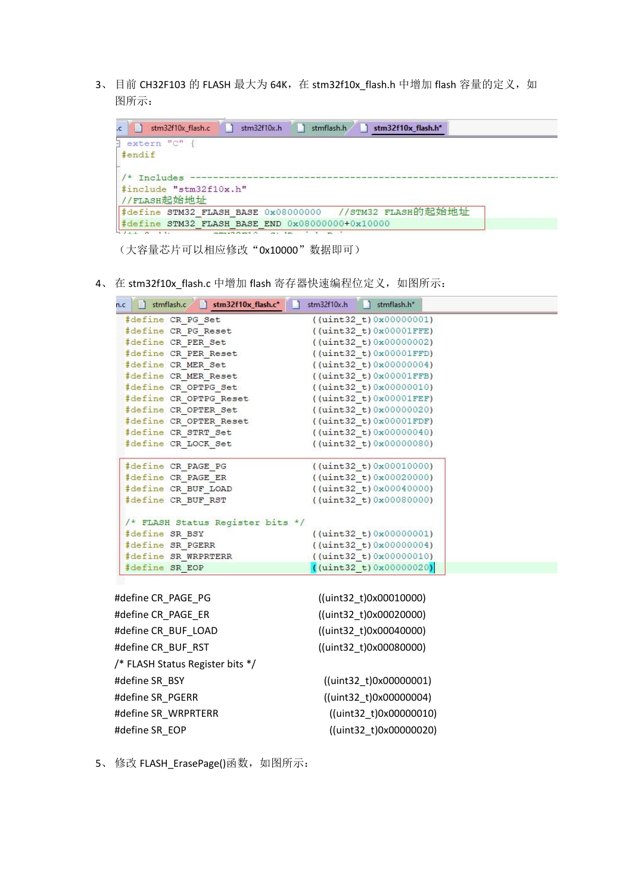3、目前 CH32F103 的 FLASH 最大为 64K, 在 stm32f10x\_flash.h 中增加 flash 容量的定义, 如 图所示:

| extern "C" {<br>#endif<br>$/*$ Includes                 |  |
|---------------------------------------------------------|--|
|                                                         |  |
| #include "stm32f10x.h"<br>//FLASH起始地址                   |  |
| #define STM32 FLASH BASE 0x08000000 //STM32 FLASH的起始地址  |  |
| $\sharp$ define STM32 FLASH BASE END 0x08000000+0x10000 |  |

(大容量芯片可以相应修改"0x10000"数据即可)

4、在 stm32f10x\_flash.c 中增加 flash 寄存器快速编程位定义, 如图所示:

| $\text{Ric}$ and $\text{Simflash.c}$ and $\text{Sim32f10x_fflash.c^*}$ | stm32f10x.h<br>stmflash.h*    |  |
|------------------------------------------------------------------------|-------------------------------|--|
| #define CR PG Set                                                      | $($ (uint32 t) 0x00000001)    |  |
| #define CR PG Reset                                                    | $($ (uint32 t) $0x00001$ FFE) |  |
| #define CR PER Set                                                     | $($ (uint32 t) $0x00000002)$  |  |
| #define CR PER Reset                                                   | $($ (uint32 t) $0x00001FFD)$  |  |
| #define CR MER Set                                                     | $($ (uint32 t) 0x00000004)    |  |
| #define CR MER Reset                                                   | $($ (uint32 t) $0x00001FFB)$  |  |
| #define CR OPTPG Set                                                   | $($ (uint32 t) 0x00000010)    |  |
| #define CR OPTPG Reset                                                 | $($ (uint32 t) $0x00001FEF)$  |  |
| #define CR OPTER Set                                                   | $($ (uint32 t) $0x00000020)$  |  |
| #define CR OPTER Reset                                                 | $($ (uint32 t) $0x00001FDF)$  |  |
| #define CR_STRT_Set                                                    | $($ (uint32 t) 0x00000040)    |  |
| #define CR LOCK Set                                                    | (iuint32 t) 0x00000080)       |  |
| #define CR PAGE PG                                                     | $($ (uint32 t) 0x00010000)    |  |
| #define CR PAGE ER                                                     | $($ (uint32 t) $0x00020000)$  |  |
| #define CR BUF LOAD                                                    | $($ (uint32 t) 0x00040000)    |  |
| #define CR BUF RST                                                     | $($ (uint32 t) $0x00080000)$  |  |
| /* FLASH Status Register bits */                                       |                               |  |
| #define SR BSY                                                         | ((uint32 t) 0x00000001)       |  |
| #define SR PGERR                                                       | $($ (uint32 t) $0x00000004)$  |  |
| #define SR WRPRTERR                                                    | $($ (uint32 t) $0x00000010)$  |  |
| #define SR EOP                                                         | (iaint32 t) 0x00000020        |  |

| #define CR PAGE PG               | ((uint32 t)0x00010000) |
|----------------------------------|------------------------|
| #define CR PAGE ER               | ((uint32_t)0x00020000) |
| #define CR_BUF_LOAD              | ((uint32 t)0x00040000) |
| #define CR BUF RST               | ((uint32_t)0x00080000) |
| /* FLASH Status Register bits */ |                        |
| #define SR BSY                   | ((uint32 t)0x00000001) |
| #define SR PGERR                 | ((uint32 t)0x00000004) |
| #define SR WRPRTERR              | ((uint32_t)0x00000010) |
| #define SR EOP                   | ((uint32 t)0x00000020) |

5、 修改 FLASH\_ErasePage()函数, 如图所示: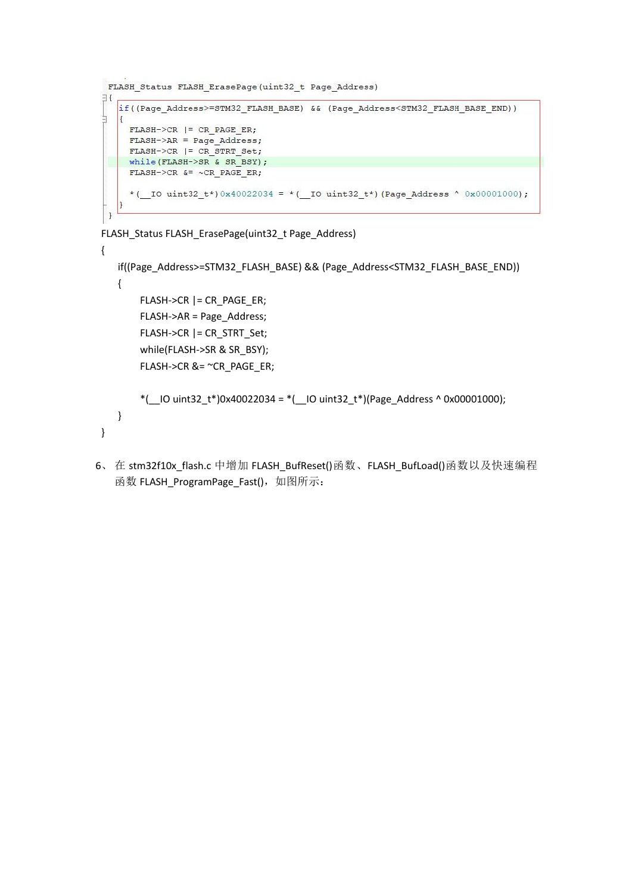```
FLASH Status FLASH ErasePage(uint32 t Page Address)
E_{\overline{z}}if((Page_Address>=STM32_FLASH_BASE) && (Page_Address<STM32_FLASH_BASE_END))
Ļ
   \vertFLASH->CR | = CR PAGE ER;
    FLASH->AR = Page Address;FLASH->CR | = CR STRT Set;
 while (FLASH->SR & SR BSY);
    FLASH->CR &= ~CR PAGE ER;
     * ( IO uint32 t*) 0x40022034 = * ( IO uint32 t*) (Page Address ^ 0x00001000);
   13
\overline{\mathbf{1}}
```

```
FLASH_Status FLASH_ErasePage(uint32_t Page_Address)
```

```
{
  if((Page_Address>=STM32_FLASH_BASE) && (Page_Address<STM32_FLASH_BASE_END))
  {
      FLASH->CR |= CR_PAGE_ER;
      FLASH->AR = Page_Address;
      FLASH->CR |= CR_STRT_Set;
      while(FLASH->SR & SR_BSY);
      FLASH->CR &= ~CR_PAGE_ER; *(-10 \text{ units}2_t*)0x40022034 =*(-10 \text{ units}2_t*)(Page_Address ^ 0x00001000);
  }
}
```
6、在 stm32f10x flash.c 中增加 FLASH\_BufReset()函数、FLASH\_BufLoad()函数以及快速编程 函数 FLASH\_ProgramPage\_Fast(), 如图所示: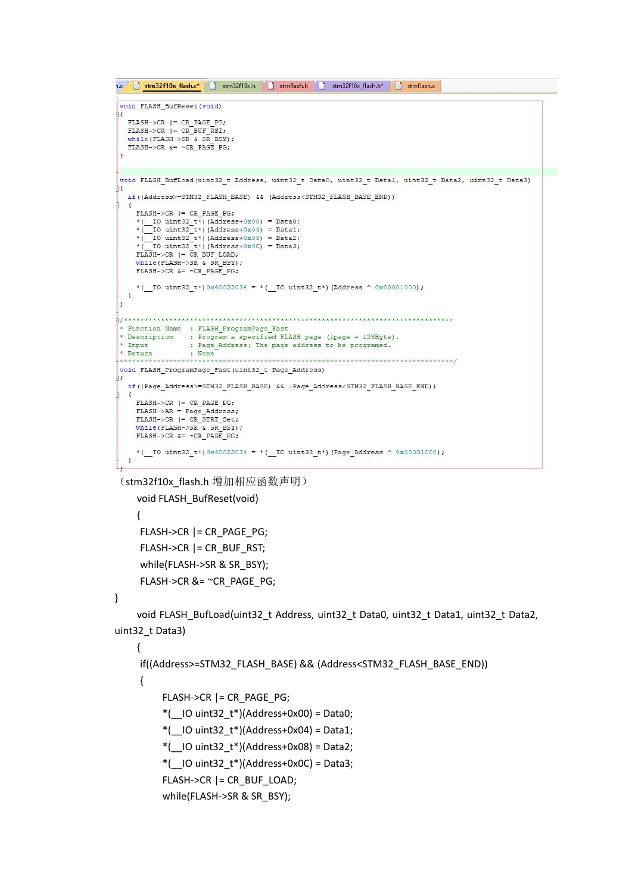```
n.c stm32f10x_flash.c* stm32f10x.h stmflash.h stm32f10x_flash.h* stmflash.c
void FLASH BufReset (void)
  FLASH->CR |= CR PAGE PG;
  FLASH->CR = CR\overline{\text{BUF}}\overline{\text{RST}};while (FLASH->SR & SR BSY):
  FLASH->CR s = \simCR PAGE PG;
void FLASH_BufLoad(uint32_t Address, uint32_t Data0, uint32_t Data1, uint32_t Data2, uint32_t Data3)
  if((Address>=STM32 FLASH BASE) && (Address<STM32 FLASH BASE END))
    FLASH->CR I = CR PAGE PG;
     *(_IO uint32_t*)(Address+0x00) = Data0;<br>*(_IO uint32_t*)(Address+0x00) = Data0;<br>*(_IO uint32_t*)(Address+0x04) = Data1;
     *([IO uint32_t*) (Address+0x08) = Data2;
    * \overline{\text{IO} \text{ units32} \text{ t}} (Address+0x0C) = Data3;<br>FLASH->CR |= CR_BUF_LOAD;<br>while (FLASH->SR & SR_BSY);
    FLASH->CR &= ~CR PAGE PG;
     *(_IO uint32_t*)0x40022034 = *(_IO uint32_t*)(Address ^ 0x00001000);
  \mathbf{F}\overline{1}* Function Name : FLASH ProgramPage Fast
* Description
                  : Program a specified FLASH page (1page = 128Byte).
* Input
                   : Page Address: The page address to be programed.
* Return
                    : None
 void FLASH ProgramPage Fast(uint32 t Page Address)
  if((Page_Address>=STM32_FLASH_BASE) && (Page_Address<STM32_FLASH_BASE_END))
    FLASH->CR | = CR PAGE PG;
    FLASH->AR = Page\_Address;FLASH->CR | = CR \overline{S}TRT \overline{S}t:
     while (FLASH->SR & SR BSY) :
    \texttt{FLASH}\texttt{-}\texttt{/CR} \texttt{ & = \texttt{~}\texttt{~}\texttt{CR}\texttt{ \_} \texttt{PAGE}\texttt{ \_} \texttt{PG};*(_IO_uint32_t*)0x40022034 = *(_IO_uint32_t*)(Page_Address ^ 0x00001000);
  \mathbf{r}
```
(stm32f10x flash.h 增加相应函数声明)

```
void FLASH_BufReset(void)
{
FLASH->CR |= CR_PAGE_PG;
FLASH->CR |= CR_BUF_RST;
while(FLASH->SR & SR_BSY);
FLASH->CR &= ~CR_PAGE_PG;
```
}

void FLASH\_BufLoad(uint32\_t Address, uint32\_t Data0, uint32\_t Data1, uint32\_t Data2, uint32\_t Data3)

{

```
if((Address>=STM32_FLASH_BASE) && (Address<STM32_FLASH_BASE_END))
{
    FLASH->CR |= CR_PAGE_PG; *(\blacksquare IO uint32 t*)(Address+0x00) = Data0;
     *(\blacksquare IO uint32 t*)(Address+0x04) = Data1;
     *(-10 \text{ unit32}_t*)(Address+0x08) = Data2;*(\blacksquare IO uint32 t*)(Address+0x0C) = Data3;
     FLASH->CR |= CR_BUF_LOAD;
     while(FLASH->SR & SR_BSY);
```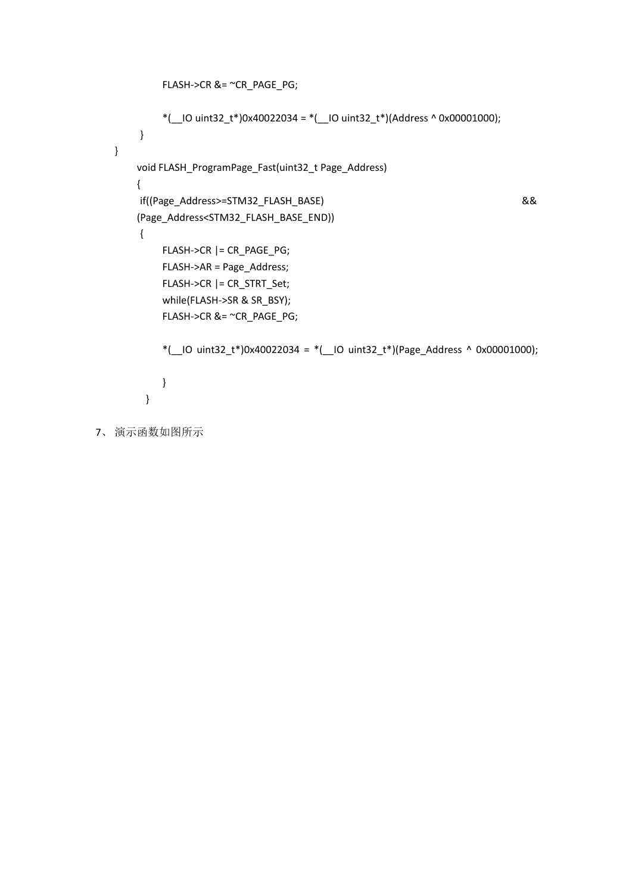```
FLASH->CR &= ~CR_PAGE_PG; *(-10 \text{ uint32_t*)}0x40022034 = (-10 \text{ uint32_t*)}0x4002036);
       }
   }
      void FLASH_ProgramPage_Fast(uint32_t Page_Address)
       {
       if((Page_Address>=STM32_FLASH_BASE) &&
      (Page_Address<STM32_FLASH_BASE_END))
       {
           FLASH->CR |= CR_PAGE_PG;
           FLASH->AR = Page_Address;
           FLASH->CR |= CR_STRT_Set;
           while(FLASH->SR & SR_BSY);
           FLASH->CR &= ~CR_PAGE_PG; *(\angleIO uint32_t*)0x40022034 = *(\angleIO uint32_t*)(Page_Address ^ 0x00001000);
          }
        }
7、 演示函数如图所示
```